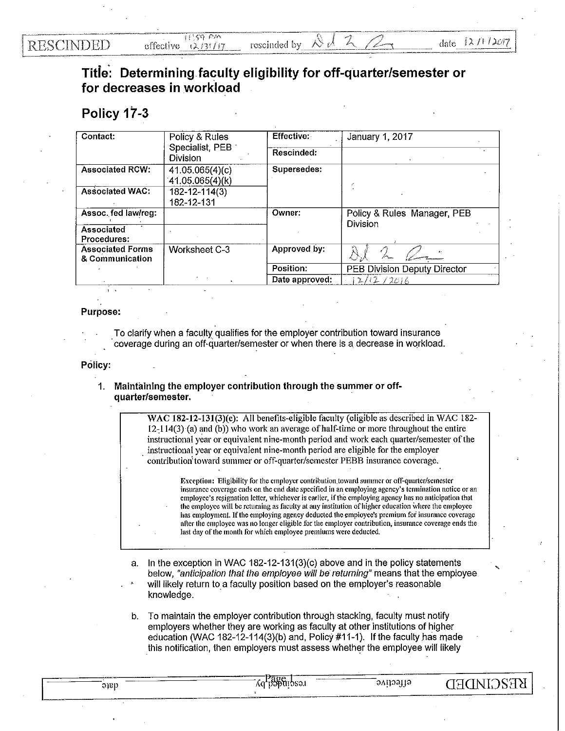## **RESCINDED**

**'** 

## Titie': Determining faculty eligibility for off-quarter/semester or for decreases in workload

## Policy 17-3

| Contact:                                   | Policy & Rules<br>Specialist, PEB<br>Division | Effective:     | January 1, 2017                         |
|--------------------------------------------|-----------------------------------------------|----------------|-----------------------------------------|
|                                            |                                               | Rescinded:     |                                         |
| <b>Associated RCW:</b>                     | 41.05.065(4)(c)<br>41.05.065(4)(k)            | Supersedes:    |                                         |
| <b>Associated WAC:</b>                     | 182-12-114(3)<br>182-12-131                   |                |                                         |
| Assoc. fed law/reg:                        |                                               | Owner:         | Policy & Rules Manager, PEB<br>Division |
| Associated<br>Procedures:                  |                                               |                |                                         |
| <b>Associated Forms</b><br>& Communication | Worksheet C-3                                 | Approved by:   |                                         |
|                                            |                                               | Position:      | <b>PEB Division Deputy Director</b>     |
|                                            |                                               | Date approved: | 12/12/2016                              |

## Purpose:

To clarify when a faculty qualifies for the employer contribution toward insurance coverage during an off-quarter/semester or when there is a decrease in workload.

Policy:

knowledge.

1. Maintaining the employer contribution through the summer or offquarter/semester.

> WAC 182-12-131(3)(c): All benefits-eligible faculty (eligible as described in WAC 182- $12-114(3)$  (a) and (b)) who work an average of half-time or more throughout the entire instructional year or equivalent nine-month period and work each quarter/semester of the instructional year or equivalent nine-month period are eligible for the employer contribution toward summer or off-quarter/semester PEBB insurance coverage.

> > Exception: Eligibility for the employer contribution toward summer or off-quarter/semester insurance coverage ends on the end date specified in an employing agency's termination notice or an employee's resignation letter, whichever is earlier, if the employing agency has no anticipation that the employee will be returning as faculty at any institution of higher education where the employee has employment. If the employing agency deducted the employee's premium for insurance coverage after the employee was no longer eligible for the employer contribution, insurance coverage ends the last day of the month for which employee premiums were deducted.

- In the exception in WAC 182-12-131(3)(c) above and in the policy statements below, "anticipation that the employee will be returning" means that the employee will likely return to a faculty position based on the employer's reasonable
- b. To maintain the employer contribution through stacking, faculty must notify employers whether they are working as faculty at other institutions of higher education (WAC 182-12-114(3)(b) and, Policy #11-1). If the faculty has made this notification, then employers must assess whether the employee will likely

*K*q papuibsə. **KE2CIMDED** etfective que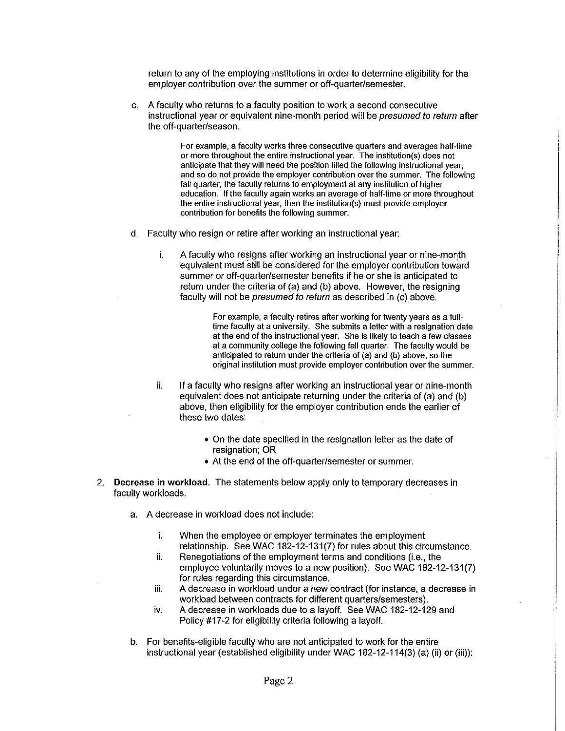return to any of the employing institutions in order to determine eligibility for the employer contribution over the summer or off-quarter/semester.

c. A faculty who returns to a faculty position to work a second consecutive instructional year or equivalent nine-month period will be presumed to return after the off-quarter/season.

> For example, a faculty works three consecutive quarters and averages half-lime or more throughout the entire instructional year. The institution(s) does not anticipate that they will need the position filled the following instructional year, and so do not provide the employer contribution over the summer. The following fall quarter, the faculty returns to employment at any institution of higher education. If the faculty again works an average of half-time or more throughout the entire instructional year, then the institution(s) must provide employer contribution for benefits the following summer.

- d. Faculty who resign or retire after working an instructional year:
	- i. A faculty who resigns after working an instructional year or nine-month equivalent must still be considered for the employer contribution toward summer or off-quarter/semester benefits if he or she is anticipated to return under the criteria of (a) and (b) above. However, the resigning faculty will not be presumed to return as described in (c) above.

For example, a faculty retires after working for twenty years as a fulltime faculty at a university. She submits a letter with a resignation date at the end of the instructional year. She is likely to teach a few classes at a community college the following fall quarter. The faculty would be anticipated to return under the criteria of (a) and (b) above, so the original institution must provide employer contribution over the summer.

- ii. If a faculty who resigns after working an instructional year or nine-month equivalent does not anticipate returning under the criteria of (a) and (b) above, then eligibility for the employer contribution ends the earlier of these two dates:
	- On the date specified in the resignation letter as the date of resignation; OR
	- At the end of the off-quarter/semester or summer.
- 2. Decrease in workload. The statements below apply only to temporary decreases in faculty workloads.
	- a. A decrease in workload does not include:
		- i. When the employee or employer terminates the employment relationship. See WAC 182-12-131(7) for rules about this circumstance.
		- ii. Renegotiations of the employment terms and conditions (i.e., the employee voluntarily moves to a new position). See WAC 182-12-131(7) for rules regarding this circumstance.
		- iii. A decrease in workload under a new contract (for instance, a decrease in workload between contracts for different quarters/semesters).
		- iv. A decrease in workloads due to a layoff. See WAC 182-12-129 and Policy #17-2 for eligibility criteria following a layoff.
	- b. For benefits-eligible faculty who are not anticipated to work for the entire instructional year (established eligibility under WAC 182-12-114(3) (a) (ii) or (iii)):